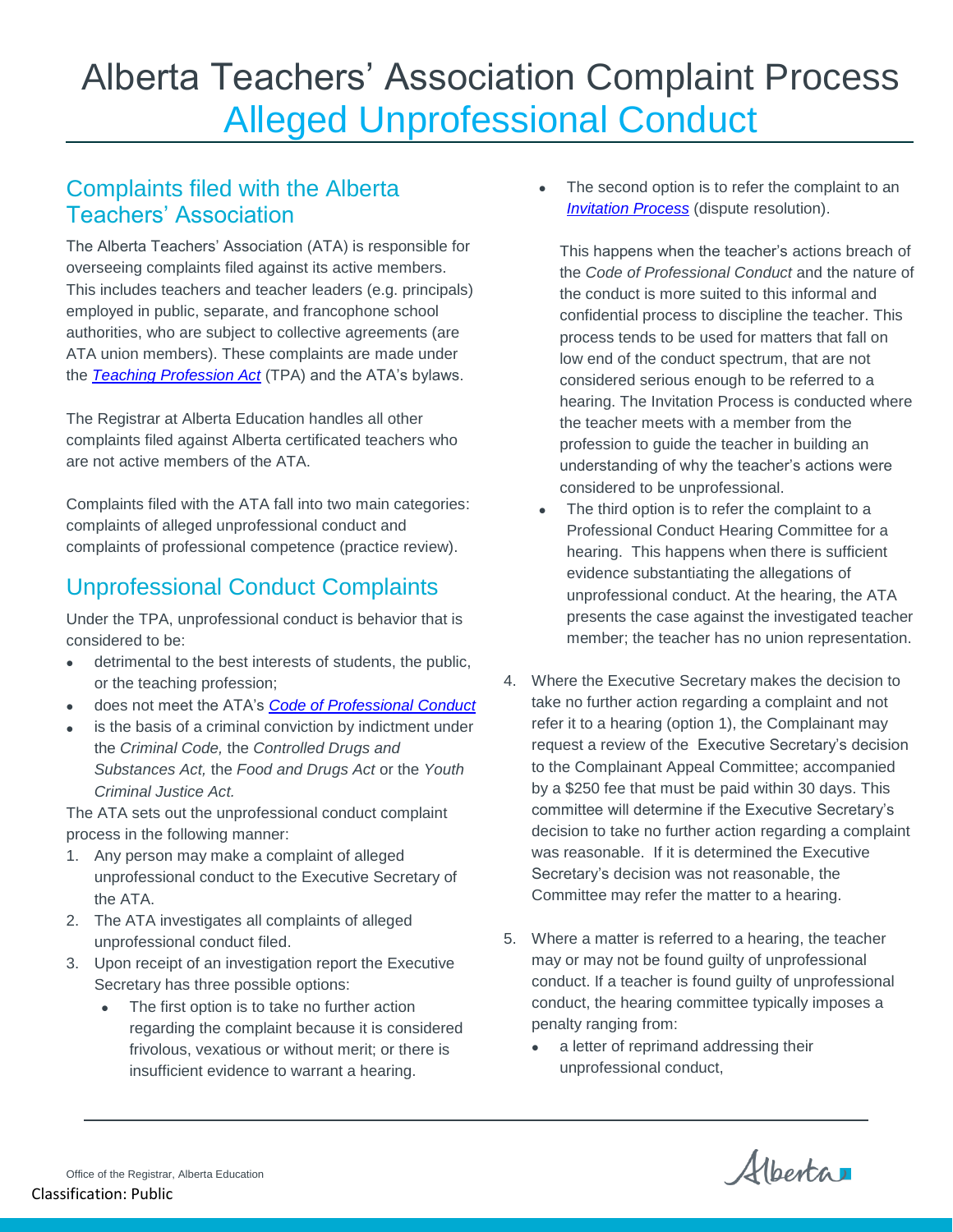## Alberta Teachers' Association Complaint Process Alleged Unprofessional Conduct

## Complaints filed with the Alberta Teachers' Association

The Alberta Teachers' Association (ATA) is responsible for overseeing complaints filed against its active members. This includes teachers and teacher leaders (e.g. principals) employed in public, separate, and francophone school authorities, who are subject to collective agreements (are ATA union members). These complaints are made under the *[Teaching Profession Act](https://www.qp.alberta.ca/1266.cfm?page=T02.cfm&leg_type=Acts&isbncln=9780779819263)* (TPA) and the ATA's bylaws.

The Registrar at Alberta Education handles all other complaints filed against Alberta certificated teachers who are not active members of the ATA.

Complaints filed with the ATA fall into two main categories: complaints of alleged unprofessional conduct and complaints of professional competence (practice review).

## Unprofessional Conduct Complaints

Under the TPA, unprofessional conduct is behavior that is considered to be:

- detrimental to the best interests of students, the public, or the teaching profession;
- does not meet the ATA's *[Code of Professional Conduct](https://www.teachers.ab.ca/SiteCollectionDocuments/ATA/Publications/Teachers-as-Professionals/IM-4E%20Code%20of%20Professional%20Conduct.pdf)*
- is the basis of a criminal conviction by indictment under the *Criminal Code,* the *Controlled Drugs and Substances Act,* the *Food and Drugs Act* or the *Youth Criminal Justice Act.*

The ATA sets out the unprofessional conduct complaint process in the following manner:

- 1. Any person may make a complaint of alleged unprofessional conduct to the Executive Secretary of the ATA.
- 2. The ATA investigates all complaints of alleged unprofessional conduct filed.
- 3. Upon receipt of an investigation report the Executive Secretary has three possible options:
	- The first option is to take no further action regarding the complaint because it is considered frivolous, vexatious or without merit; or there is insufficient evidence to warrant a hearing.

• The second option is to refer the complaint to an *[Invitation Process](https://www.qp.alberta.ca/documents/Regs/1997_168.pdf)* (dispute resolution).

This happens when the teacher's actions breach of the *Code of Professional Conduct* and the nature of the conduct is more suited to this informal and confidential process to discipline the teacher. This process tends to be used for matters that fall on low end of the conduct spectrum, that are not considered serious enough to be referred to a hearing. The Invitation Process is conducted where the teacher meets with a member from the profession to guide the teacher in building an understanding of why the teacher's actions were considered to be unprofessional.

- The third option is to refer the complaint to a Professional Conduct Hearing Committee for a hearing. This happens when there is sufficient evidence substantiating the allegations of unprofessional conduct. At the hearing, the ATA presents the case against the investigated teacher member; the teacher has no union representation.
- 4. Where the Executive Secretary makes the decision to take no further action regarding a complaint and not refer it to a hearing (option 1), the Complainant may request a review of the Executive Secretary's decision to the Complainant Appeal Committee; accompanied by a \$250 fee that must be paid within 30 days. This committee will determine if the Executive Secretary's decision to take no further action regarding a complaint was reasonable. If it is determined the Executive Secretary's decision was not reasonable, the Committee may refer the matter to a hearing.
- 5. Where a matter is referred to a hearing, the teacher may or may not be found guilty of unprofessional conduct. If a teacher is found guilty of unprofessional conduct, the hearing committee typically imposes a penalty ranging from:
	- a letter of reprimand addressing their unprofessional conduct,

Alberta